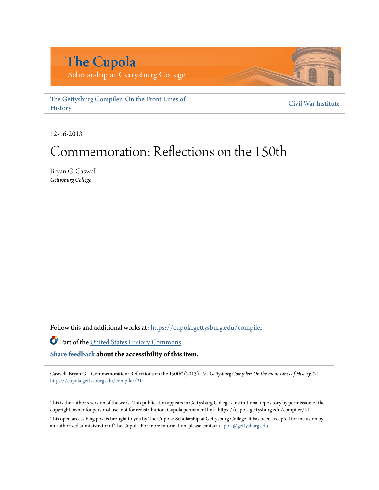# **The Cupola**

Scholarship at Gettysburg College

[The Gettysburg Compiler: On the Front Lines of](https://cupola.gettysburg.edu/compiler?utm_source=cupola.gettysburg.edu%2Fcompiler%2F21&utm_medium=PDF&utm_campaign=PDFCoverPages) **[History](https://cupola.gettysburg.edu/compiler?utm_source=cupola.gettysburg.edu%2Fcompiler%2F21&utm_medium=PDF&utm_campaign=PDFCoverPages)** 

[Civil War Institute](https://cupola.gettysburg.edu/cwi?utm_source=cupola.gettysburg.edu%2Fcompiler%2F21&utm_medium=PDF&utm_campaign=PDFCoverPages)

12-16-2013

### Commemoration: Reflections on the 150th

Bryan G. Caswell *Gettysburg College*

Follow this and additional works at: [https://cupola.gettysburg.edu/compiler](https://cupola.gettysburg.edu/compiler?utm_source=cupola.gettysburg.edu%2Fcompiler%2F21&utm_medium=PDF&utm_campaign=PDFCoverPages)

Part of the [United States History Commons](http://network.bepress.com/hgg/discipline/495?utm_source=cupola.gettysburg.edu%2Fcompiler%2F21&utm_medium=PDF&utm_campaign=PDFCoverPages)

**[Share feedback](https://docs.google.com/a/bepress.com/forms/d/1h9eEcpBPj5POs5oO6Y5A0blXRmZqykoonyYiZUNyEq8/viewform) about the accessibility of this item.**

Caswell, Bryan G., "Commemoration: Reflections on the 150th" (2013). *The Gettysburg Compiler: On the Front Lines of History*. 21. [https://cupola.gettysburg.edu/compiler/21](https://cupola.gettysburg.edu/compiler/21?utm_source=cupola.gettysburg.edu%2Fcompiler%2F21&utm_medium=PDF&utm_campaign=PDFCoverPages)

This is the author's version of the work. This publication appears in Gettysburg College's institutional repository by permission of the copyright owner for personal use, not for redistribution. Cupola permanent link: https://cupola.gettysburg.edu/compiler/21

This open access blog post is brought to you by The Cupola: Scholarship at Gettysburg College. It has been accepted for inclusion by an authorized administrator of The Cupola. For more information, please contact [cupola@gettysburg.edu](mailto:cupola@gettysburg.edu).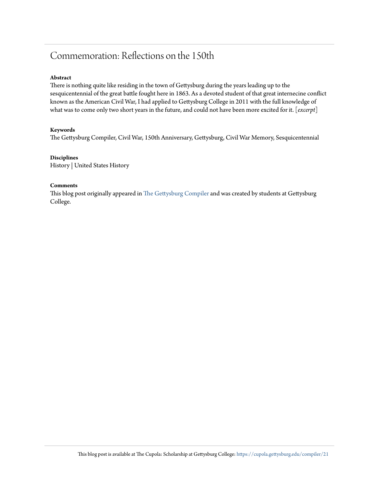### Commemoration: Reflections on the 150th

#### **Abstract**

There is nothing quite like residing in the town of Gettysburg during the years leading up to the sesquicentennial of the great battle fought here in 1863. As a devoted student of that great internecine conflict known as the American Civil War, I had applied to Gettysburg College in 2011 with the full knowledge of what was to come only two short years in the future, and could not have been more excited for it. [*excerpt*]

#### **Keywords**

The Gettysburg Compiler, Civil War, 150th Anniversary, Gettysburg, Civil War Memory, Sesquicentennial

#### **Disciplines**

History | United States History

#### **Comments**

This blog post originally appeared in [The Gettysburg Compiler](http://gettysburgcompiler.com/) and was created by students at Gettysburg College.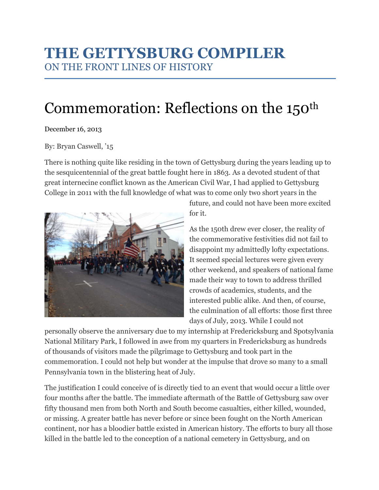### THE GETTYSBURG COMPILER ON THE FRONT LINES OF HISTORY

## Commemoration: Reflections on the 150<sup>th</sup>

#### December 16, 2013

#### By: Bryan Caswell, '15

There is nothing quite like residing in the town of Gettysburg during the years leading up to the sesquicentennial of the great battle fought here in 1863. As a devoted student of that great internecine conflict known as the American Civil War, I had applied to Gettysburg College in 2011 with the full knowledge of what was to come only two short years in the



future, and could not have been more excited for it.

As the 150th drew ever closer, the reality of the commemorative festivities did not fail to disappoint my admittedly lofty expectations. It seemed special lectures were given every other weekend, and speakers of national fame made their way to town to address thrilled crowds of academics, students, and the interested public alike. And then, of course, the culmination of all efforts: those first three days of July, 2013. While I could not

personally observe the anniversary due to my internship at Fredericksburg and Spotsylvania National Military Park, I followed in awe from my quarters in Fredericksburg as hundreds of thousands of visitors made the pilgrimage to Gettysburg and took part in the commemoration. I could not help but wonder at the impulse that drove so many to a small Pennsylvania town in the blistering heat of July.

The justification I could conceive of is directly tied to an event that would occur a little over four months after the battle. The immediate aftermath of the Battle of Gettysburg saw over fifty thousand men from both North and South become casualties, either killed, wounded, or missing. A greater battle has never before or since been fought on the North American continent, nor has a bloodier battle existed in American history. The efforts to bury all those killed in the battle led to the conception of a national cemetery in Gettysburg, and on